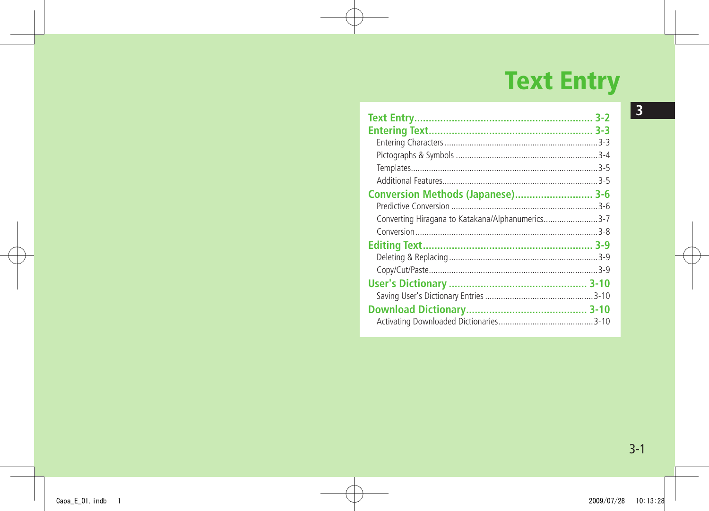# **Text Entry**

| Conversion Methods (Japanese) 3-6                |  |
|--------------------------------------------------|--|
|                                                  |  |
| Converting Hiragana to Katakana/Alphanumerics3-7 |  |
|                                                  |  |
|                                                  |  |
|                                                  |  |
|                                                  |  |
|                                                  |  |
|                                                  |  |
|                                                  |  |
|                                                  |  |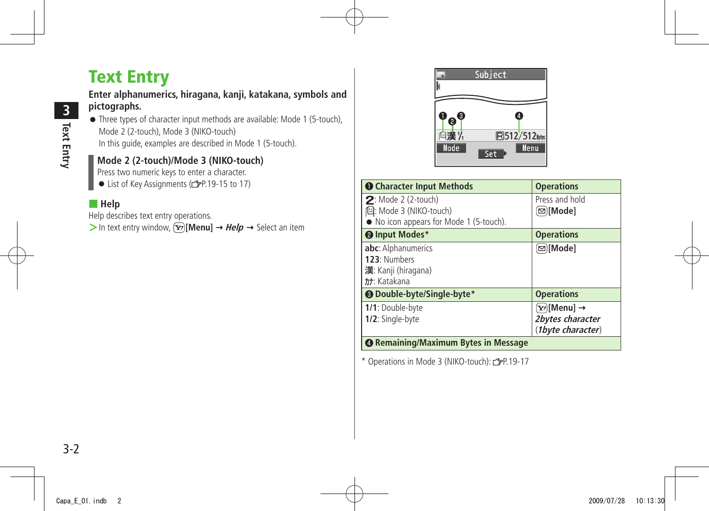# <span id="page-1-0"></span>**Text Entry**

#### **Enter alphanumerics, hiragana, kanji, katakana, symbols and pictographs.**

● Three types of character input methods are available: Mode 1 (5-touch), Mode 2 (2-touch), Mode 3 (NIKO-touch) In this guide, examples are described in Mode 1 (5-touch).

## **Mode 2 (2-touch)/Mode 3 (NIKO-touch)**

Press two numeric keys to enter a character.

● List of Key Assignments (rep. 19-15 to 17)

#### ■ **Help**

Help describes text entry operations.

 $>$  In text entry window,  $\boxed{\mathbf{x}}$  [Menu]  $\rightarrow$  *Help*  $\rightarrow$  Select an item



| <b>O</b> Character Input Methods                                  | <b>Operations</b>         |
|-------------------------------------------------------------------|---------------------------|
| $2:$ Mode 2 (2-touch)                                             | Press and hold            |
| 但: Mode 3 (NIKO-touch)<br>• No icon appears for Mode 1 (5-touch). | (⊠)[Mode]                 |
| <sup>o</sup> Input Modes*                                         | <b>Operations</b>         |
| abc: Alphanumerics                                                | ⊠∏Mode]                   |
| 123: Numbers                                                      |                           |
| 漢: Kanji (hiragana)                                               |                           |
| tt: Katakana                                                      |                           |
| <b>@</b> Double-byte/Single-byte*                                 | <b>Operations</b>         |
| 1/1: Double-byte                                                  | ั⊻ <sup>,</sup> )[Menu] → |
| 1/2: Single-byte                                                  | 2bytes character          |
|                                                                   | (1byte character)         |
| <b>@ Remaining/Maximum Bytes in Message</b>                       |                           |

\* Operations in Mode 3 (NIKO-touch):  $2P.19-17$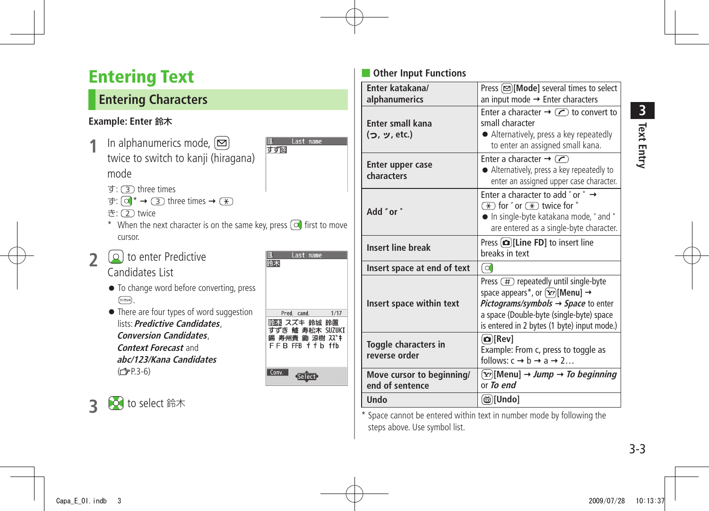# <span id="page-2-0"></span>**Entering Text**

## **Entering Characters**

## **Example: Enter** 鈴木

- **1** In alphanumerics mode, **□** twice to switch to kanji (hiragana) mode
	- $\vec{\sigma}$ :  $\vec{\sigma}$  three times
	- $\overline{\Phi}$ :  $\overline{\Theta}$  \*  $\rightarrow$   $\overline{\Theta}$  three times  $\rightarrow$   $\overline{\ast}$ )
	- き: (2) twice
	- \* When the next character is on the same key, press  $\circledcirc$  first to move cursor.
- **2** to enter Predictive Candidates List

**3** to select 鈴木

- To change word before converting, press  $(717) \times 10^{-1}$
- There are four types of word suggestion lists: **Predictive Candidates**, **Conversion Candidates**, **Context Forecast** and **abc/123/Kana Candidates**   $(r = P.3-6)$

| Last name                                                              |      |
|------------------------------------------------------------------------|------|
| 鈴木                                                                     |      |
|                                                                        |      |
|                                                                        |      |
| Pred. cand.                                                            | 1/17 |
| 鈴木 スズキ 鈴城 鈴置<br>すずき 鱸 寿松木 SUZUKI<br>錫 寿州貴 鋤 涼樹 スズキ<br>FFRFFR f f b ffh |      |
| Conv.<br>Select                                                        |      |

Last name

すず間

## **Other Input Functions**

| Enter katakana/<br>alphanumerics             | Press $\boxed{\infty}$ [Mode] several times to select<br>an input mode $\rightarrow$ Enter characters                                                                                                                                                          |  |
|----------------------------------------------|----------------------------------------------------------------------------------------------------------------------------------------------------------------------------------------------------------------------------------------------------------------|--|
| Enter small kana<br>(つ, ッ, etc.)             | Enter a character $\rightarrow$ (C) to convert to<br>small character<br>• Alternatively, press a key repeatedly<br>to enter an assigned small kana.                                                                                                            |  |
| Enter upper case<br>characters               | Enter a character $\rightarrow$ $\curvearrowright$<br>• Alternatively, press a key repeatedly to<br>enter an assigned upper case character.                                                                                                                    |  |
| Add "or"                                     | Enter a character to add "or $\degree$ $\rightarrow$<br>$\overline{\star}$ for $\degree$ or $\overline{\star}$ twice for $\degree$<br>• In single-byte katakana mode, " and "<br>are entered as a single-byte character.                                       |  |
| <b>Insert line break</b>                     | Press $[Q$ ][Line FD] to insert line<br>breaks in text                                                                                                                                                                                                         |  |
| Insert space at end of text                  | l ol                                                                                                                                                                                                                                                           |  |
| Insert space within text                     | Press $(\pm)$ repeatedly until single-byte<br>space appears*, or $\left[\frac{V}{2}\right]$ [Menu] $\rightarrow$<br>Pictograms/symbols $\rightarrow$ Space to enter<br>a space (Double-byte (single-byte) space<br>is entered in 2 bytes (1 byte) input mode.) |  |
| Toggle characters in<br>reverse order        | $\Omega$ [Rev]<br>Example: From c, press to toggle as<br>follows: $c \rightarrow b \rightarrow a \rightarrow 2$                                                                                                                                                |  |
| Move cursor to beginning/<br>end of sentence | $\left[\nabla r\right]$ [Menu] → Jump → To beginning<br>or To end                                                                                                                                                                                              |  |
| Undo                                         | [၂] [Undo]                                                                                                                                                                                                                                                     |  |

\* Space cannot be entered within text in number mode by following the steps above. Use symbol list.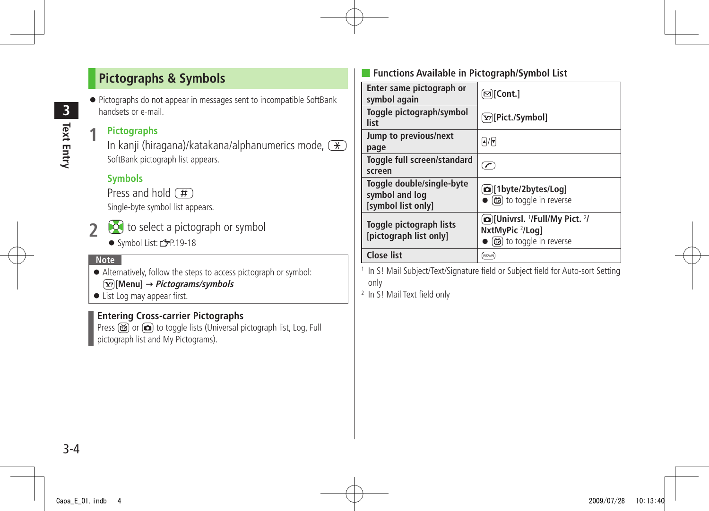## <span id="page-3-0"></span>**Pictographs & Symbols**

● Pictographs do not appear in messages sent to incompatible SoftBank handsets or e-mail.

#### **1 Pictographs**

In kanji (hiragana)/katakana/alphanumerics mode,  $\rightarrow$ SoftBank pictograph list appears.

## **Symbols**

Press and hold  $(\overline{H})$ 

Single-byte symbol list appears.

- **2** to select a pictograph or symbol
	- Symbol List: 台P.19-18

#### **Note**

- Alternatively, follow the steps to access pictograph or symbol: **[Menu] Pictograms/symbols**
- List Log may appear first.

## **Entering Cross-carrier Pictographs**

Press  $\circled{m}$  or  $\circled{m}$  to toggle lists (Universal pictograph list, Log, Full pictograph list and My Pictograms).

## ■ **Functions Available in Pictograph/Symbol List**

| Enter same pictograph or<br>symbol again                          | ⊠)[Cont.]                                                                                         |
|-------------------------------------------------------------------|---------------------------------------------------------------------------------------------------|
| Toggle pictograph/symbol<br>list                                  | [Y][Pict./Symbol]                                                                                 |
| Jump to previous/next<br>page                                     | $\boxed{\blacktriangle}$ / $\boxed{\blacktriangledown}$                                           |
| Toggle full screen/standard<br>screen                             | $\overline{\mathcal{C}}$                                                                          |
| Toggle double/single-byte<br>symbol and log<br>[symbol list only] | [@][1byte/2bytes/Log]<br>● (茴) to toggle in reverse                                               |
| Toggle pictograph lists<br>[pictograph list only]                 | <b>@JunivrsI. '/Full/My Pict. '/</b><br>NxtMyPic <sup>2</sup> /Loq]<br>● [齒] to toggle in reverse |
| <b>Close list</b>                                                 | クリアメモ                                                                                             |

1 In S! Mail Subject/Text/Signature field or Subject field for Auto-sort Setting only

2 In S! Mail Text field only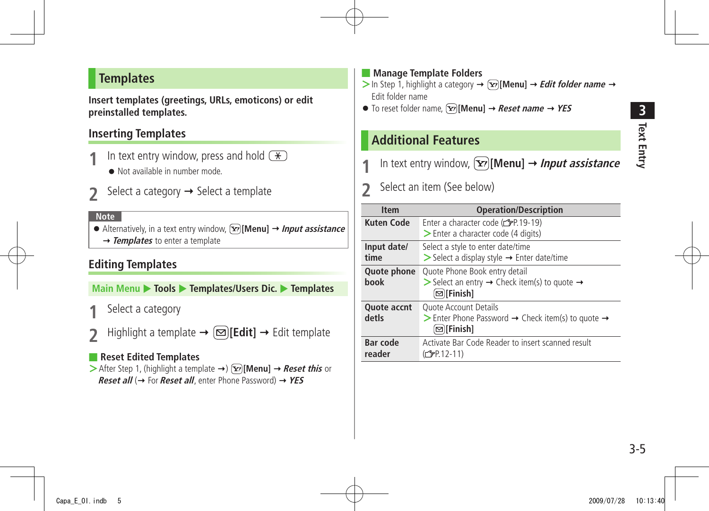## <span id="page-4-0"></span>**Templates**

**Insert templates (greetings, URLs, emoticons) or edit preinstalled templates.**

## **Inserting Templates**

- In text entry window, press and hold  $(\ast)$ 
	- Not available in number mode.
- Select a category  $\rightarrow$  Select a template

#### **Note**

● Alternatively, in a text entry window, **[Y][Menu]** → *Input assistance* → **Templates** to enter a template

## **Editing Templates**

**Main Menu > Tools > Templates/Users Dic. > Templates** 

- **1** Select a category
- $\text{Highlight a template} \rightarrow \text{[} \text{Edit} \text{]} \rightarrow \text{Edit template}$

## ■ **Reset Edited Templates**

 $\triangleright$  After Step 1, (highlight a template  $\rightarrow$ )  $\sqrt{\mathbf{x}}$  [Menu]  $\rightarrow$  **Reset this** or **Reset all** (→ For **Reset all**, enter Phone Password) → YES

### ■ **Manage Template Folders**

- $>$  In Step 1, highlight a category  $\rightarrow \infty$  **[Menu]**  $\rightarrow$  *Edit folder name*  $\rightarrow$ Edit folder name
- $\bullet$  To reset folder name,  $\boxed{\mathbf{x}}$  **Menul**  $\rightarrow$  *Reset name*  $\rightarrow$  **YES**

## **Additional Features**

- In text entry window,  $\boxed{\mathbf{Y}}$  [Menu]  $\rightarrow$  *Input assistance*
- 2 Select an item (See below)

| <b>Item</b>                 | <b>Operation/Description</b>                                                                                                            |
|-----------------------------|-----------------------------------------------------------------------------------------------------------------------------------------|
| Kuten Code                  | Enter a character code (c FP.19-19)<br>> Enter a character code (4 digits)                                                              |
| Input date/<br>time         | Select a style to enter date/time<br>$\triangleright$ Select a display style $\rightarrow$ Enter date/time                              |
| Quote phone<br><b>hook</b>  | Quote Phone Book entry detail<br>Select an entry $\rightarrow$ Check item(s) to quote $\rightarrow$<br>⊠ Finish]                        |
| <b>Quote accnt</b><br>detls | <b>Ouote Account Details</b><br>$\triangleright$ Enter Phone Password $\rightarrow$ Check item(s) to quote $\rightarrow$<br>(⊠)[Finish] |
| <b>Bar code</b><br>reader   | Activate Bar Code Reader to insert scanned result<br>$(\mathcal{F}P.12-11)$                                                             |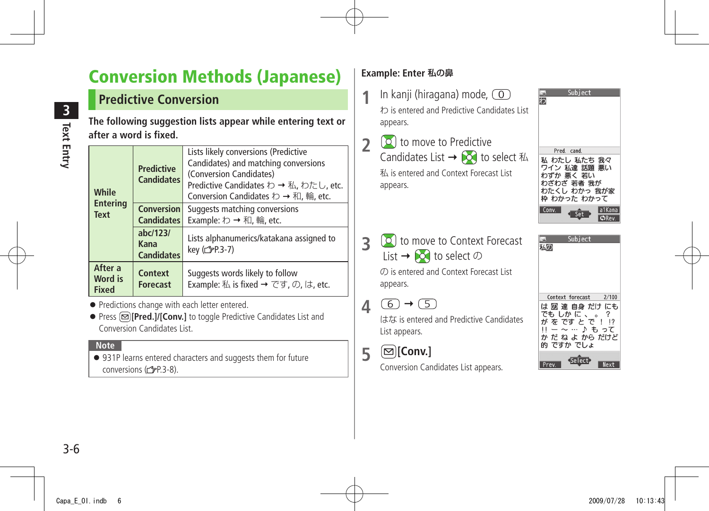# <span id="page-5-0"></span>**Conversion Methods (Japanese)**

## **Predictive Conversion**

**The following suggestion lists appear while entering text or after a word is fixed.**

| While                                 | <b>Predictive</b><br><b>Candidates</b> | Lists likely conversions (Predictive<br>Candidates) and matching conversions<br>(Conversion Candidates)<br>Predictive Candidates わ→私, わたし, etc.<br>Conversion Candidates わ→和, 輪, etc. |
|---------------------------------------|----------------------------------------|---------------------------------------------------------------------------------------------------------------------------------------------------------------------------------------|
| <b>Entering</b><br><b>Text</b>        | <b>Conversion</b><br><b>Candidates</b> | Suggests matching conversions<br>Example: わ → 和, 輪, etc.                                                                                                                              |
| abc/123/<br>Kana<br><b>Candidates</b> |                                        | Lists alphanumerics/katakana assigned to<br>key (子P.3-7)                                                                                                                              |
| After a<br>Word is<br><b>Fixed</b>    | Context<br><b>Forecast</b>             | Suggests words likely to follow<br>Example: 私 is fixed → です, の, は, etc.                                                                                                               |

- Predictions change with each letter entered.
- Press **<b>E [Pred.]/[Conv.]** to toggle Predictive Candidates List and Conversion Candidates List.

#### **Note**

● 931P learns entered characters and suggests them for future conversions  $(r = P.3-8)$ .

## **Example: Enter** 私の鼻

- **1** In kanji (hiragana) mode, わ is entered and Predictive Candidates List appears.
- **2** to move to Predictive Candidates List  $\rightarrow$   $\odot$  to select  $\mathbb{A}$ 私 is entered and Context Forecast List appears.
- **3** (**0**) to move to Context Forecast List  $\rightarrow$   $\circledcirc$  to select  $\circledcirc$ の is entered and Context Forecast List appears.
- $4 \circledcirc + 5$

はな is entered and Predictive Candidates List appears.

**5 [Conv.]**

Conversion Candidates List appears.

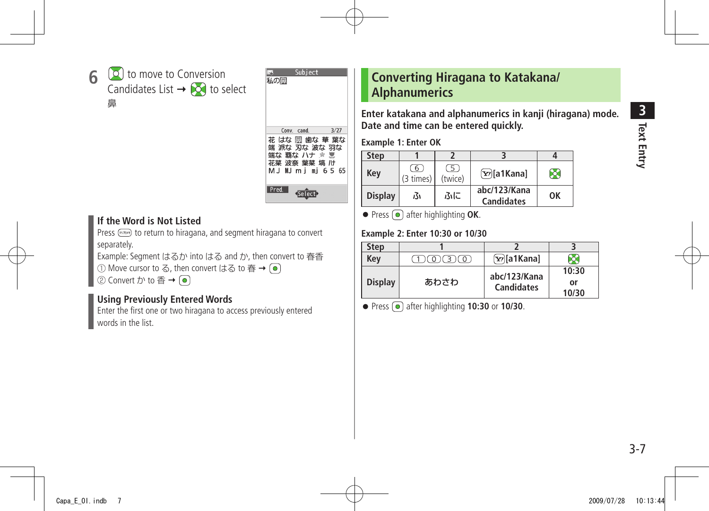<span id="page-6-0"></span>



#### **If the Word is Not Listed**

Press (ppped) to return to hiragana, and segment hiragana to convert separately.

Example: Segment はるか into はる and か, then convert to 春香

① Move cursor to る, then convert はる to 春 → ●

② Convert  $\uparrow$  to 香 →  $\lceil \bullet \rceil$ 

### **Using Previously Entered Words**

Enter the first one or two hiragana to access previously entered words in the list.

## **Converting Hiragana to Katakana/ Alphanumerics**

**Enter katakana and alphanumerics in kanji (hiragana) mode. Date and time can be entered quickly.**

**Example 1: Enter OK**

| <b>Step</b>    |                |                           |                                   |    |
|----------------|----------------|---------------------------|-----------------------------------|----|
| Kev            | 6<br>(3 times) | $\overline{5}$<br>(twice) | $\boxed{\mathbf{x}}$ a1Kana]      | X. |
| <b>Display</b> | ß۱             | ふに                        | abc/123/Kana<br><b>Candidates</b> | OK |

● Press **●** after highlighting **OK**.

#### **Example 2: Enter 10:30 or 10/30**

| Step           |         |                                   |                      |
|----------------|---------|-----------------------------------|----------------------|
| Kev            | 1631607 | $\boxed{\mathbf{Y}}$ [a1Kana]     |                      |
| <b>Display</b> | あわさわ    | abc/123/Kana<br><b>Candidates</b> | 10:30<br>or<br>10/30 |

● Press **●** after highlighting **10:30** or **10/30**.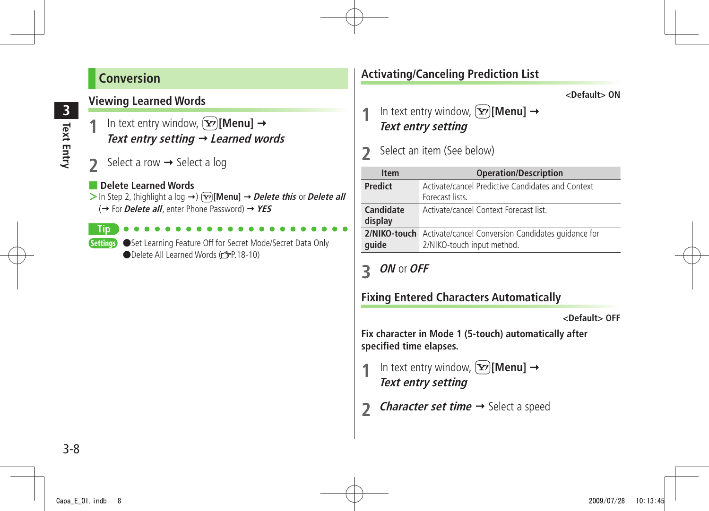## <span id="page-7-0"></span>**Conversion**

## **Viewing Learned Words**

- In text entry window,  $\boxed{\mathbf{x}}$ **[Menu]**  $\rightarrow$ **Text entry setting Learned words**
- Select a row  $\rightarrow$  Select a log

#### **Delete Learned Words**

 $>$  In Step 2, (highlight a log  $\rightarrow$  )  $\overline{Y}$  [Menu]  $\rightarrow$  *Delete this* or *Delete all* (→ For *Delete all*, enter Phone Password) → YES

**Tip**

Settings Set Learning Feature Off for Secret Mode/Secret Data Only ●Delete All Learned Words (rep.18-10)

## **Activating/Canceling Prediction List**

**<Default> ON**

In text entry window,  $[\mathbf{x}$ <sup>2</sup> [Menu]  $\rightarrow$ **Text entry setting**

## **2** Select an item (See below)

| <b>Item</b>          | <b>Operation/Description</b>                                                                  |
|----------------------|-----------------------------------------------------------------------------------------------|
| <b>Predict</b>       | Activate/cancel Predictive Candidates and Context<br>Forecast lists.                          |
| Candidate<br>display | Activate/cancel Context Forecast list                                                         |
| quide                | 2/NIKO-touch Activate/cancel Conversion Candidates quidance for<br>2/NIKO-touch input method. |

## **3 ON** or **OFF**

## **Fixing Entered Characters Automatically**

**<Default> OFF**

**Fix character in Mode 1 (5-touch) automatically after specified time elapses.**

- In text entry window,  $\boxed{\mathbf{x}}$ **[Menu]**  $\rightarrow$ **Text entry setting**
- *Character set time*  $\rightarrow$  Select a speed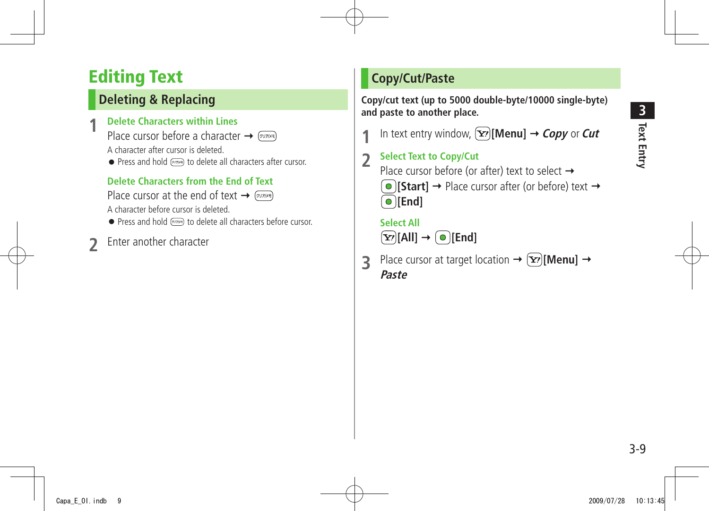# <span id="page-8-0"></span>**Editing Text**

# **Deleting & Replacing**

## **1 Delete Characters within Lines**

Place cursor before a character  $\rightarrow$   $\sim$ 

A character after cursor is deleted.

● Press and hold (purse) to delete all characters after cursor.

## **Delete Characters from the End of Text**

Place cursor at the end of text  $\rightarrow$   $\sim$ A character before cursor is deleted.

- Press and hold  $(2077)$  to delete all characters before cursor.
- **2** Enter another character

## **Copy/Cut/Paste**

**Copy/cut text (up to 5000 double-byte/10000 single-byte) and paste to another place.**

In text entry window,  $[\mathbf{x}$ <sup>r</sup>)[Menu]  $\rightarrow$  *Copy* or *Cut* 

## **2 Select Text to Copy/Cut** Place cursor before (or after) text to select  $\rightarrow$  $\Theta$  **[Start]**  $\rightarrow$  Place cursor after (or before) text  $\rightarrow$ **[End]**

### **Select All**  $\boxed{\mathbf{Y}}$  [All]  $\rightarrow \boxed{\bullet}$  [End]

**3** Place cursor at target location  $\rightarrow$   $(\mathbf{x})$ [Menu]  $\rightarrow$ **Paste**